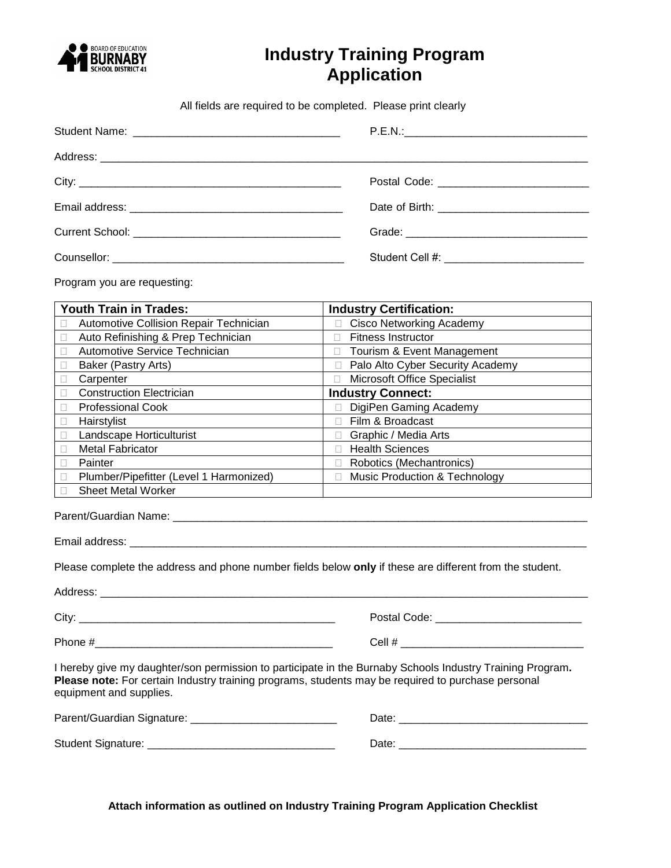

# **Industry Training Program Application**

All fields are required to be completed. Please print clearly

Program you are requesting:

| <b>Youth Train in Trades:</b>           | <b>Industry Certification:</b>           |
|-----------------------------------------|------------------------------------------|
| Automotive Collision Repair Technician  | <b>Cisco Networking Academy</b>          |
| Auto Refinishing & Prep Technician      | <b>Fitness Instructor</b>                |
| Automotive Service Technician           | Tourism & Event Management               |
| Baker (Pastry Arts)                     | Palo Alto Cyber Security Academy         |
| Carpenter                               | <b>Microsoft Office Specialist</b>       |
| <b>Construction Electrician</b>         | <b>Industry Connect:</b>                 |
| <b>Professional Cook</b>                | DigiPen Gaming Academy                   |
| Hairstylist                             | Film & Broadcast                         |
| Landscape Horticulturist                | Graphic / Media Arts                     |
| <b>Metal Fabricator</b>                 | <b>Health Sciences</b>                   |
| Painter                                 | Robotics (Mechantronics)                 |
| Plumber/Pipefitter (Level 1 Harmonized) | <b>Music Production &amp; Technology</b> |
| <b>Sheet Metal Worker</b>               |                                          |
|                                         |                                          |

Parent/Guardian Name: \_\_\_\_\_\_\_\_\_\_\_\_\_\_\_\_\_\_\_\_\_\_\_\_\_\_\_\_\_\_\_\_\_\_\_\_\_\_\_\_\_\_\_\_\_\_\_\_\_\_\_\_\_\_\_\_\_\_\_\_\_\_\_\_\_\_\_\_

equipment and supplies.

Email address: \_\_\_\_\_\_\_\_\_\_\_\_\_\_\_\_\_\_\_\_\_\_\_\_\_\_\_\_\_\_\_\_\_\_\_\_\_\_\_\_\_\_\_\_\_\_\_\_\_\_\_\_\_\_\_\_\_\_\_\_\_\_\_\_\_\_\_\_\_\_\_\_\_\_\_

Please complete the address and phone number fields below **only** if these are different from the student.

Address: \_\_\_\_\_\_\_\_\_\_\_\_\_\_\_\_\_\_\_\_\_\_\_\_\_\_\_\_\_\_\_\_\_\_\_\_\_\_\_\_\_\_\_\_\_\_\_\_\_\_\_\_\_\_\_\_\_\_\_\_\_\_\_\_\_\_\_\_\_\_\_\_\_\_\_\_\_\_\_\_ City: \_\_\_\_\_\_\_\_\_\_\_\_\_\_\_\_\_\_\_\_\_\_\_\_\_\_\_\_\_\_\_\_\_\_\_\_\_\_\_\_\_\_ Postal Code: \_\_\_\_\_\_\_\_\_\_\_\_\_\_\_\_\_\_\_\_\_\_\_\_ Phone #\_\_\_\_\_\_\_\_\_\_\_\_\_\_\_\_\_\_\_\_\_\_\_\_\_\_\_\_\_\_\_\_\_\_\_\_\_\_\_ Cell # \_\_\_\_\_\_\_\_\_\_\_\_\_\_\_\_\_\_\_\_\_\_\_\_\_\_\_\_\_\_ I hereby give my daughter/son permission to participate in the Burnaby Schools Industry Training Program**. Please note:** For certain Industry training programs, students may be required to purchase personal

| Parent/Guardian Signature: | Date. |
|----------------------------|-------|
| Student Signature:         | Date  |

**Attach information as outlined on Industry Training Program Application Checklist**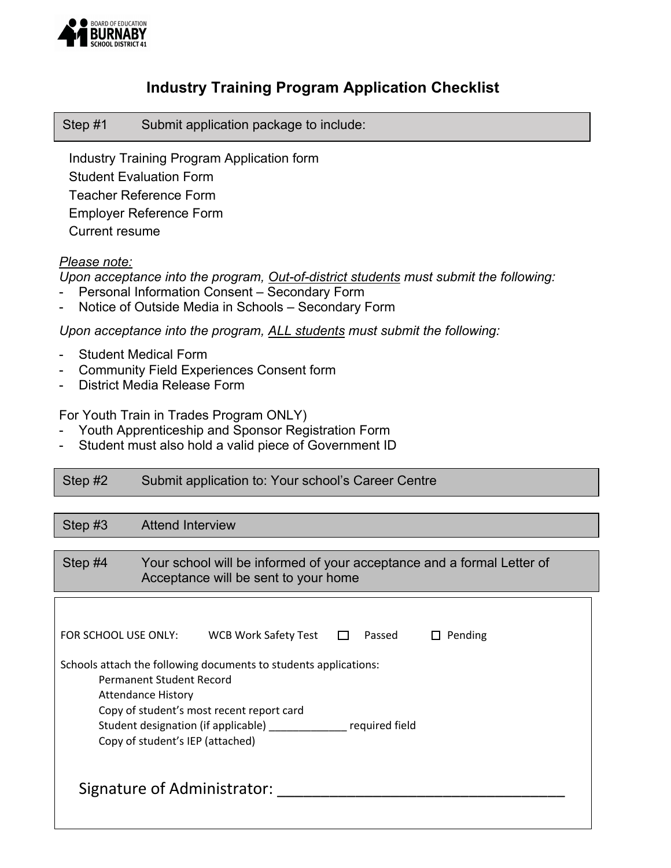

#### **Industry Training Program Application Checklist**

Step #1 Submit application package to include:

 Industry Training Program Application form Student Evaluation Form Teacher Reference Form Employer Reference Form Current resume

#### *Please note:*

*Upon acceptance into the program, Out-of-district students must submit the following:*

- Personal Information Consent Secondary Form
- Notice of Outside Media in Schools Secondary Form

*Upon acceptance into the program, ALL students must submit the following:*

- Student Medical Form
- Community Field Experiences Consent form
- District Media Release Form

For Youth Train in Trades Program ONLY)

- Youth Apprenticeship and Sponsor Registration Form
- Student must also hold a valid piece of Government ID

| Step #2 | Submit application to: Your school's Career Centre |
|---------|----------------------------------------------------|
|---------|----------------------------------------------------|

| Step $#3$                                                                                                                                                                                                                                                           | <b>Attend Interview</b>                                                                                        |                      |        |                         |  |
|---------------------------------------------------------------------------------------------------------------------------------------------------------------------------------------------------------------------------------------------------------------------|----------------------------------------------------------------------------------------------------------------|----------------------|--------|-------------------------|--|
|                                                                                                                                                                                                                                                                     |                                                                                                                |                      |        |                         |  |
| Step #4                                                                                                                                                                                                                                                             | Your school will be informed of your acceptance and a formal Letter of<br>Acceptance will be sent to your home |                      |        |                         |  |
| FOR SCHOOL USE ONLY:                                                                                                                                                                                                                                                |                                                                                                                | WCB Work Safety Test | Passed | Pending<br>$\mathsf{L}$ |  |
| Schools attach the following documents to students applications:<br>Permanent Student Record<br><b>Attendance History</b><br>Copy of student's most recent report card<br>Student designation (if applicable)<br>required field<br>Copy of student's IEP (attached) |                                                                                                                |                      |        |                         |  |
| Signature of Administrator:                                                                                                                                                                                                                                         |                                                                                                                |                      |        |                         |  |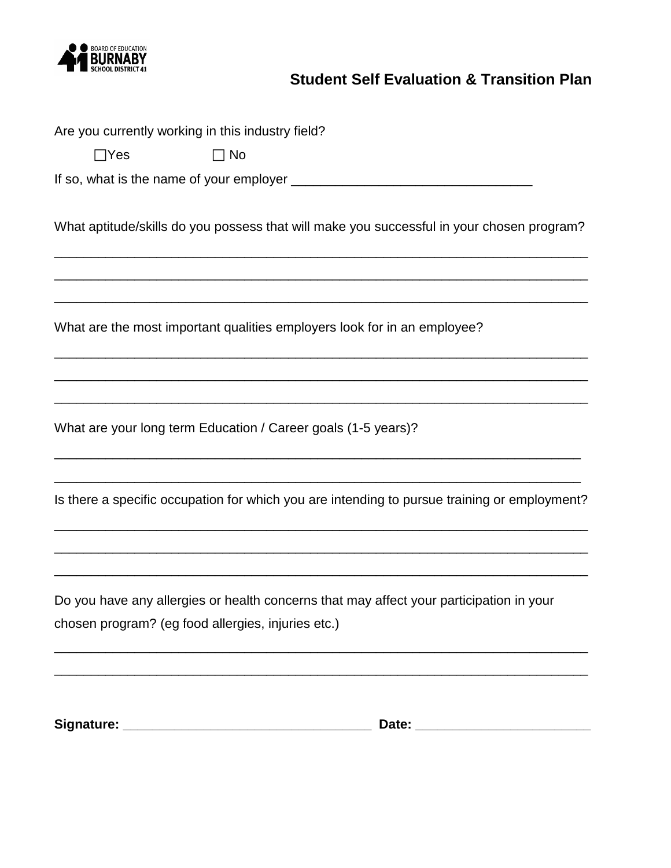

# **Student Self Evaluation & Transition Plan**

|            | Are you currently working in this industry field?             |                                                                                              |
|------------|---------------------------------------------------------------|----------------------------------------------------------------------------------------------|
| $\Box$ Yes | $\Box$ No                                                     |                                                                                              |
|            |                                                               |                                                                                              |
|            |                                                               | What aptitude/skills do you possess that will make you successful in your chosen program?    |
|            |                                                               | What are the most important qualities employers look for in an employee?                     |
|            | What are your long term Education / Career goals (1-5 years)? |                                                                                              |
|            |                                                               | Is there a specific occupation for which you are intending to pursue training or employment? |
|            |                                                               |                                                                                              |
|            | chosen program? (eg food allergies, injuries etc.)            | Do you have any allergies or health concerns that may affect your participation in your      |
|            |                                                               |                                                                                              |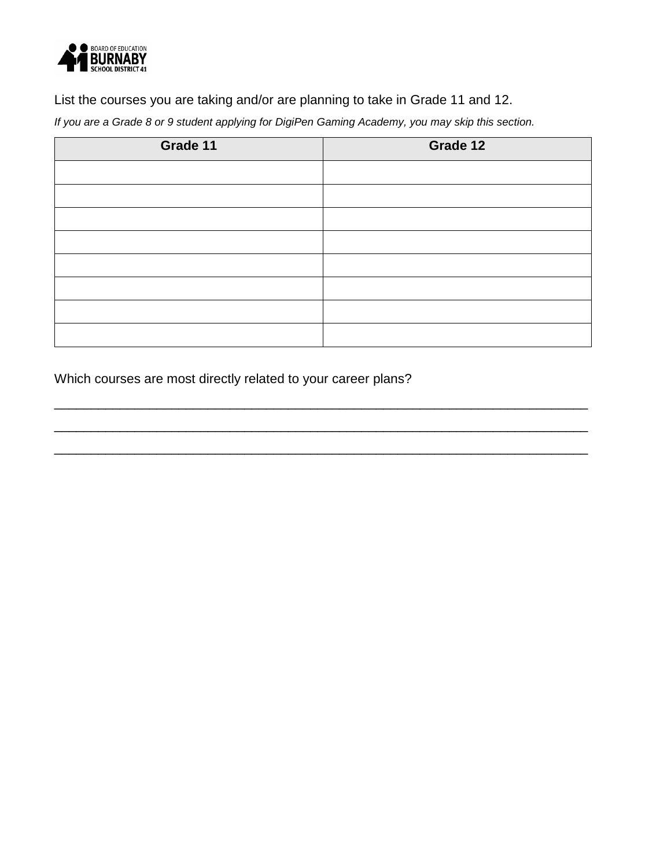

List the courses you are taking and/or are planning to take in Grade 11 and 12.

*If you are a Grade 8 or 9 student applying for DigiPen Gaming Academy, you may skip this section.*

| Grade 11 | Grade 12 |
|----------|----------|
|          |          |
|          |          |
|          |          |
|          |          |
|          |          |
|          |          |
|          |          |
|          |          |

\_\_\_\_\_\_\_\_\_\_\_\_\_\_\_\_\_\_\_\_\_\_\_\_\_\_\_\_\_\_\_\_\_\_\_\_\_\_\_\_\_\_\_\_\_\_\_\_\_\_\_\_\_\_\_\_\_\_\_\_\_\_\_\_\_\_\_\_\_\_\_\_\_

\_\_\_\_\_\_\_\_\_\_\_\_\_\_\_\_\_\_\_\_\_\_\_\_\_\_\_\_\_\_\_\_\_\_\_\_\_\_\_\_\_\_\_\_\_\_\_\_\_\_\_\_\_\_\_\_\_\_\_\_\_\_\_\_\_\_\_\_\_\_\_\_\_

\_\_\_\_\_\_\_\_\_\_\_\_\_\_\_\_\_\_\_\_\_\_\_\_\_\_\_\_\_\_\_\_\_\_\_\_\_\_\_\_\_\_\_\_\_\_\_\_\_\_\_\_\_\_\_\_\_\_\_\_\_\_\_\_\_\_\_\_\_\_\_\_\_

Which courses are most directly related to your career plans?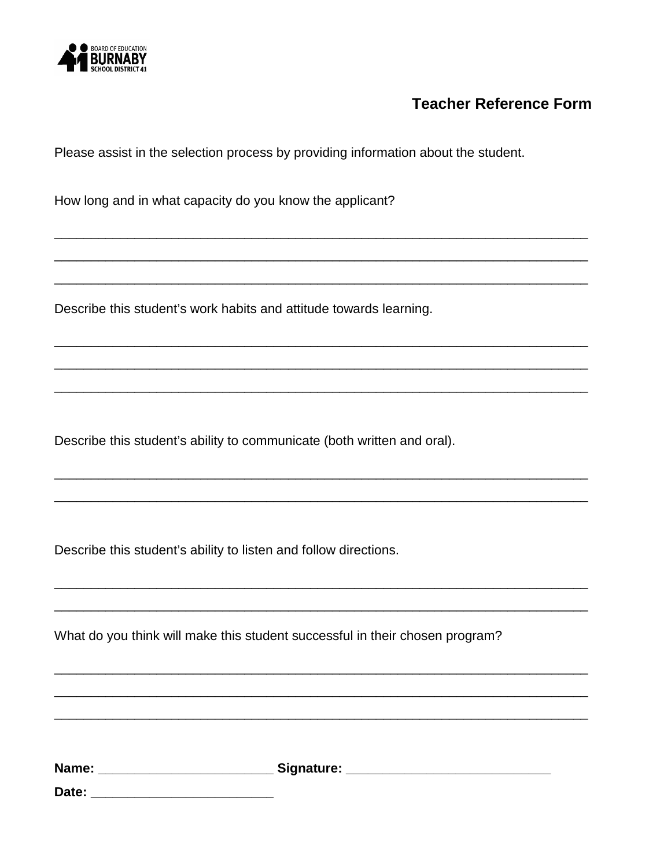

### **Teacher Reference Form**

Please assist in the selection process by providing information about the student.

How long and in what capacity do you know the applicant?

Describe this student's work habits and attitude towards learning.

Describe this student's ability to communicate (both written and oral).

Describe this student's ability to listen and follow directions.

What do you think will make this student successful in their chosen program?